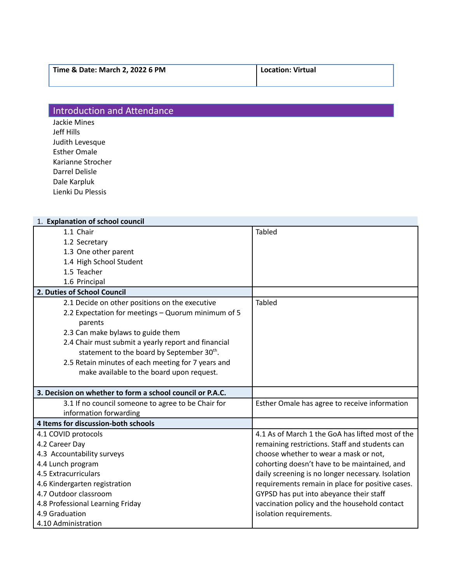## Introduction and Attendance

Jackie Mines Jeff Hills Judith Levesque Esther Omale Karianne Strocher Darrel Delisle Dale Karpluk Lienki Du Plessis

| 1. Explanation of school council                          |                                                   |
|-----------------------------------------------------------|---------------------------------------------------|
| 1.1 Chair                                                 | <b>Tabled</b>                                     |
| 1.2 Secretary                                             |                                                   |
| 1.3 One other parent                                      |                                                   |
| 1.4 High School Student                                   |                                                   |
| 1.5 Teacher                                               |                                                   |
| 1.6 Principal                                             |                                                   |
| 2. Duties of School Council                               |                                                   |
| 2.1 Decide on other positions on the executive            | <b>Tabled</b>                                     |
| 2.2 Expectation for meetings - Quorum minimum of 5        |                                                   |
| parents                                                   |                                                   |
| 2.3 Can make bylaws to guide them                         |                                                   |
| 2.4 Chair must submit a yearly report and financial       |                                                   |
| statement to the board by September 30 <sup>th</sup> .    |                                                   |
| 2.5 Retain minutes of each meeting for 7 years and        |                                                   |
| make available to the board upon request.                 |                                                   |
|                                                           |                                                   |
| 3. Decision on whether to form a school council or P.A.C. |                                                   |
| 3.1 If no council someone to agree to be Chair for        | Esther Omale has agree to receive information     |
| information forwarding                                    |                                                   |
| 4 Items for discussion-both schools                       |                                                   |
| 4.1 COVID protocols                                       | 4.1 As of March 1 the GoA has lifted most of the  |
| 4.2 Career Day                                            | remaining restrictions. Staff and students can    |
| 4.3 Accountability surveys                                | choose whether to wear a mask or not,             |
| 4.4 Lunch program                                         | cohorting doesn't have to be maintained, and      |
| 4.5 Extracurriculars                                      | daily screening is no longer necessary. Isolation |
| 4.6 Kindergarten registration                             | requirements remain in place for positive cases.  |
| 4.7 Outdoor classroom                                     | GYPSD has put into abeyance their staff           |
| 4.8 Professional Learning Friday                          | vaccination policy and the household contact      |
| 4.9 Graduation                                            | isolation requirements.                           |
| 4.10 Administration                                       |                                                   |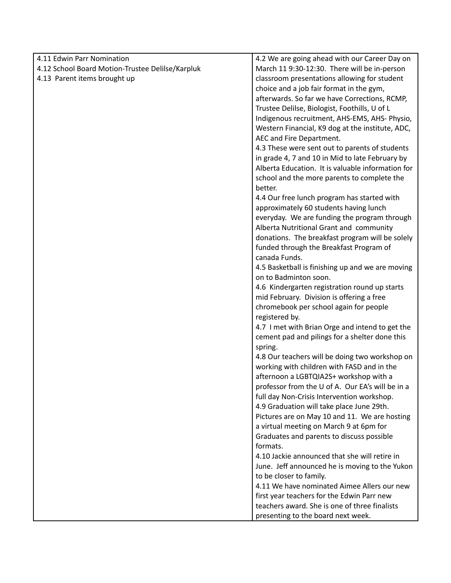| 4.11 Edwin Parr Nomination                       | 4.2 We are going ahead with our Career Day on     |
|--------------------------------------------------|---------------------------------------------------|
| 4.12 School Board Motion-Trustee Delilse/Karpluk | March 11 9:30-12:30. There will be in-person      |
| 4.13 Parent items brought up                     | classroom presentations allowing for student      |
|                                                  | choice and a job fair format in the gym,          |
|                                                  | afterwards. So far we have Corrections, RCMP,     |
|                                                  | Trustee Delilse, Biologist, Foothills, U of L     |
|                                                  | Indigenous recruitment, AHS-EMS, AHS- Physio,     |
|                                                  | Western Financial, K9 dog at the institute, ADC,  |
|                                                  | AEC and Fire Department.                          |
|                                                  | 4.3 These were sent out to parents of students    |
|                                                  | in grade 4, 7 and 10 in Mid to late February by   |
|                                                  | Alberta Education. It is valuable information for |
|                                                  | school and the more parents to complete the       |
|                                                  | better.                                           |
|                                                  |                                                   |
|                                                  | 4.4 Our free lunch program has started with       |
|                                                  | approximately 60 students having lunch            |
|                                                  | everyday. We are funding the program through      |
|                                                  | Alberta Nutritional Grant and community           |
|                                                  | donations. The breakfast program will be solely   |
|                                                  | funded through the Breakfast Program of           |
|                                                  | canada Funds.                                     |
|                                                  | 4.5 Basketball is finishing up and we are moving  |
|                                                  | on to Badminton soon.                             |
|                                                  | 4.6 Kindergarten registration round up starts     |
|                                                  | mid February. Division is offering a free         |
|                                                  | chromebook per school again for people            |
|                                                  | registered by.                                    |
|                                                  | 4.7 I met with Brian Orge and intend to get the   |
|                                                  | cement pad and pilings for a shelter done this    |
|                                                  | spring.                                           |
|                                                  | 4.8 Our teachers will be doing two workshop on    |
|                                                  | working with children with FASD and in the        |
|                                                  | afternoon a LGBTQIA2S+ workshop with a            |
|                                                  | professor from the U of A. Our EA's will be in a  |
|                                                  | full day Non-Crisis Intervention workshop.        |
|                                                  | 4.9 Graduation will take place June 29th.         |
|                                                  | Pictures are on May 10 and 11. We are hosting     |
|                                                  | a virtual meeting on March 9 at 6pm for           |
|                                                  | Graduates and parents to discuss possible         |
|                                                  | formats.                                          |
|                                                  | 4.10 Jackie announced that she will retire in     |
|                                                  | June. Jeff announced he is moving to the Yukon    |
|                                                  | to be closer to family.                           |
|                                                  | 4.11 We have nominated Aimee Allers our new       |
|                                                  | first year teachers for the Edwin Parr new        |
|                                                  | teachers award. She is one of three finalists     |
|                                                  | presenting to the board next week.                |